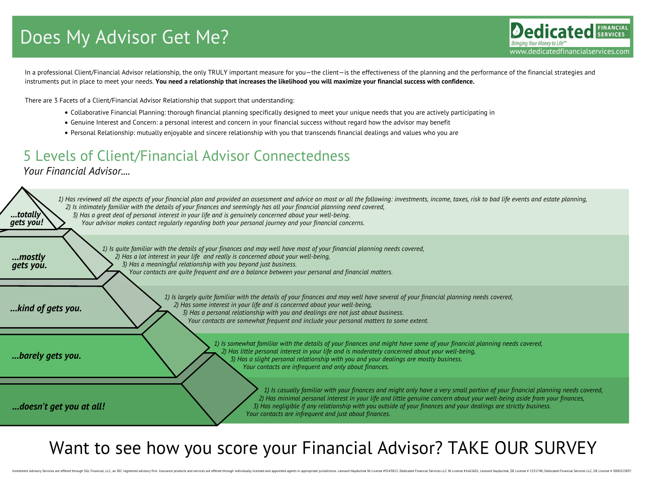In a professional Client/Financial Advisor relationship, the only TRULY important measure for you—the client—is the effectiveness of the planning and the performance of the financial strategies and instruments put in place to meet your needs. You need a relationship that increases the likelihood you will maximize your financial success with confidence.

- Collaborative Financial Planning: thorough financial planning specifically designed to meet your unique needs that you are actively participating in
- Genuine Interest and Concern: a personal interest and concern in your financial success without regard how the advisor may benefit
- Personal Relationship: mutually enjoyable and sincere relationship with you that transcends financial dealings and values who you are

1) Is largely quite familiar with the details of your finances and may well have several of your financial planning needs covered, *2) Has some interest in your life and is concerned about your well-being, 3) Has a personal relationship with you and dealings are not just about business. Your contacts are somewhat frequent and include your personal matters to some extent.*

1) Has reviewed all the aspects of your financial plan and provided an assessment and advice on most or all the following: investments, income, taxes, risk to bad life events and estate planning, 2) Is intimately familiar with the details of your finances and seemingly has all your financial planning need covered, 3) Has a great deal of personal interest in your life and is genuinely concerned about your well-being. *Your advisor makes contact regularly regarding both your personal journey and your financial concerns.*

There are 3 Facets of a Client/Financial Advisor Relationship that support that understanding:

### Want to see how you score your Financial Advisor? TAKE OUR SURVEY

1) Is casually familiar with your finances and might only have a very small portion of your financial planning needs covered, 2) Has minimal personal interest in your life and little genuine concern about your well-being aside from your finances, 3) Has negligible if any relationship with you outside of your finances and your dealings are strictly business. *Your contacts are infrequent and just about finances.*

## Does My Advisor Get Me?

1) Is somewhat familiar with the details of your finances and might have some of your financial planning needs covered, *2) Has little personal interest in your life and is moderately concerned about your well-being, 3) Has a slight personal relationship with you and your dealings are mostly business. Your contacts are infrequent and only about finances.*

1) Is quite familiar with the details of your finances and may well have most of your financial planning needs covered, *2) Has a lot interest in your life and really is concerned about your well-being, 3) Has a meaningful relationship with you beyond just business. Your contacts are quite frequent and are a balance between your personal and financial matters.*

*...totally*

*gets you!*

*...kind of gets you.*

*...barely gets you.*

*...doesn't get you at all!*

*...mostly gets you.*

### *Your Financial Advisor....* 5 Levels of Client/Financial Advisor Connectedness